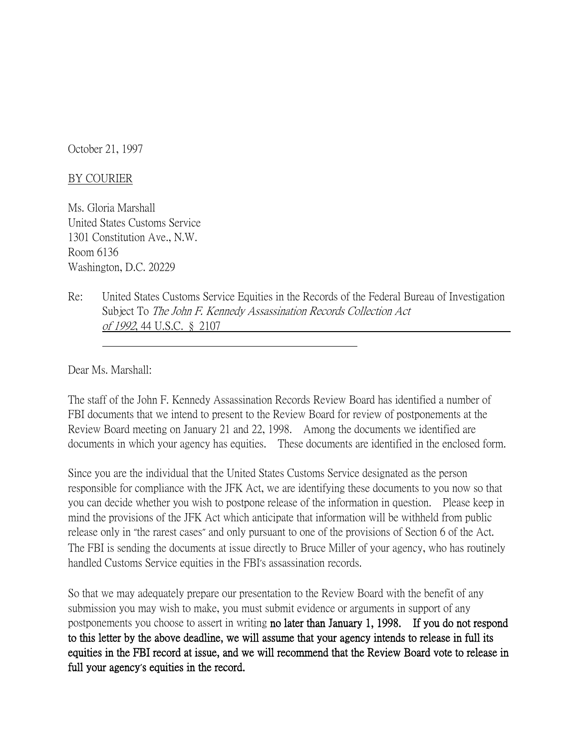October 21, 1997

## BY COURIER

Ms. Gloria Marshall United States Customs Service 1301 Constitution Ave., N.W. Room 6136 Washington, D.C. 20229

Re: United States Customs Service Equities in the Records of the Federal Bureau of Investigation Subject To The John F. Kennedy Assassination Records Collection Act of 1992, 44 U.S.C. § 2107

Dear Ms. Marshall:

The staff of the John F. Kennedy Assassination Records Review Board has identified a number of FBI documents that we intend to present to the Review Board for review of postponements at the Review Board meeting on January 21 and 22, 1998. Among the documents we identified are documents in which your agency has equities. These documents are identified in the enclosed form.

Since you are the individual that the United States Customs Service designated as the person responsible for compliance with the JFK Act, we are identifying these documents to you now so that you can decide whether you wish to postpone release of the information in question. Please keep in mind the provisions of the JFK Act which anticipate that information will be withheld from public release only in "the rarest cases" and only pursuant to one of the provisions of Section 6 of the Act. The FBI is sending the documents at issue directly to Bruce Miller of your agency, who has routinely handled Customs Service equities in the FBI's assassination records.

So that we may adequately prepare our presentation to the Review Board with the benefit of any submission you may wish to make, you must submit evidence or arguments in support of any postponements you choose to assert in writing no later than January 1, 1998. If you do not respond to this letter by the above deadline, we will assume that your agency intends to release in full its equities in the FBI record at issue, and we will recommend that the Review Board vote to release in full your agency**'**s equities in the record.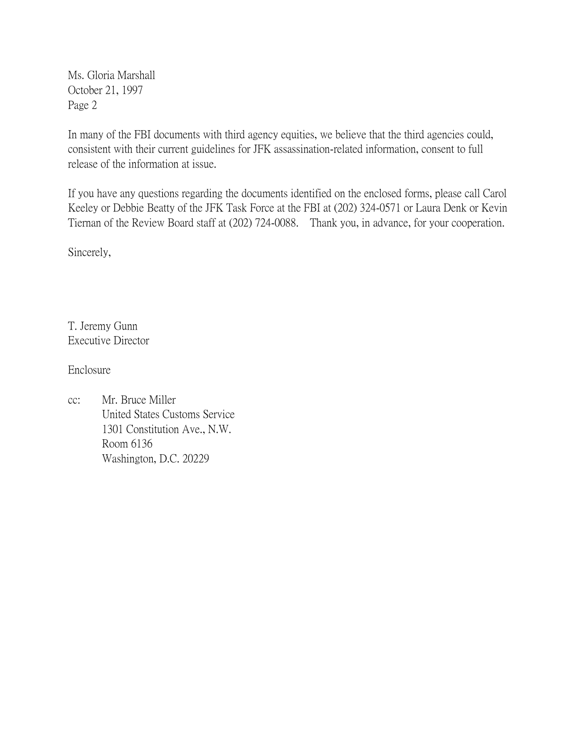Ms. Gloria Marshall October 21, 1997 Page 2

In many of the FBI documents with third agency equities, we believe that the third agencies could, consistent with their current guidelines for JFK assassination-related information, consent to full release of the information at issue.

If you have any questions regarding the documents identified on the enclosed forms, please call Carol Keeley or Debbie Beatty of the JFK Task Force at the FBI at (202) 324-0571 or Laura Denk or Kevin Tiernan of the Review Board staff at (202) 724-0088. Thank you, in advance, for your cooperation.

Sincerely,

T. Jeremy Gunn Executive Director

Enclosure

cc: Mr. Bruce Miller United States Customs Service 1301 Constitution Ave., N.W. Room 6136 Washington, D.C. 20229